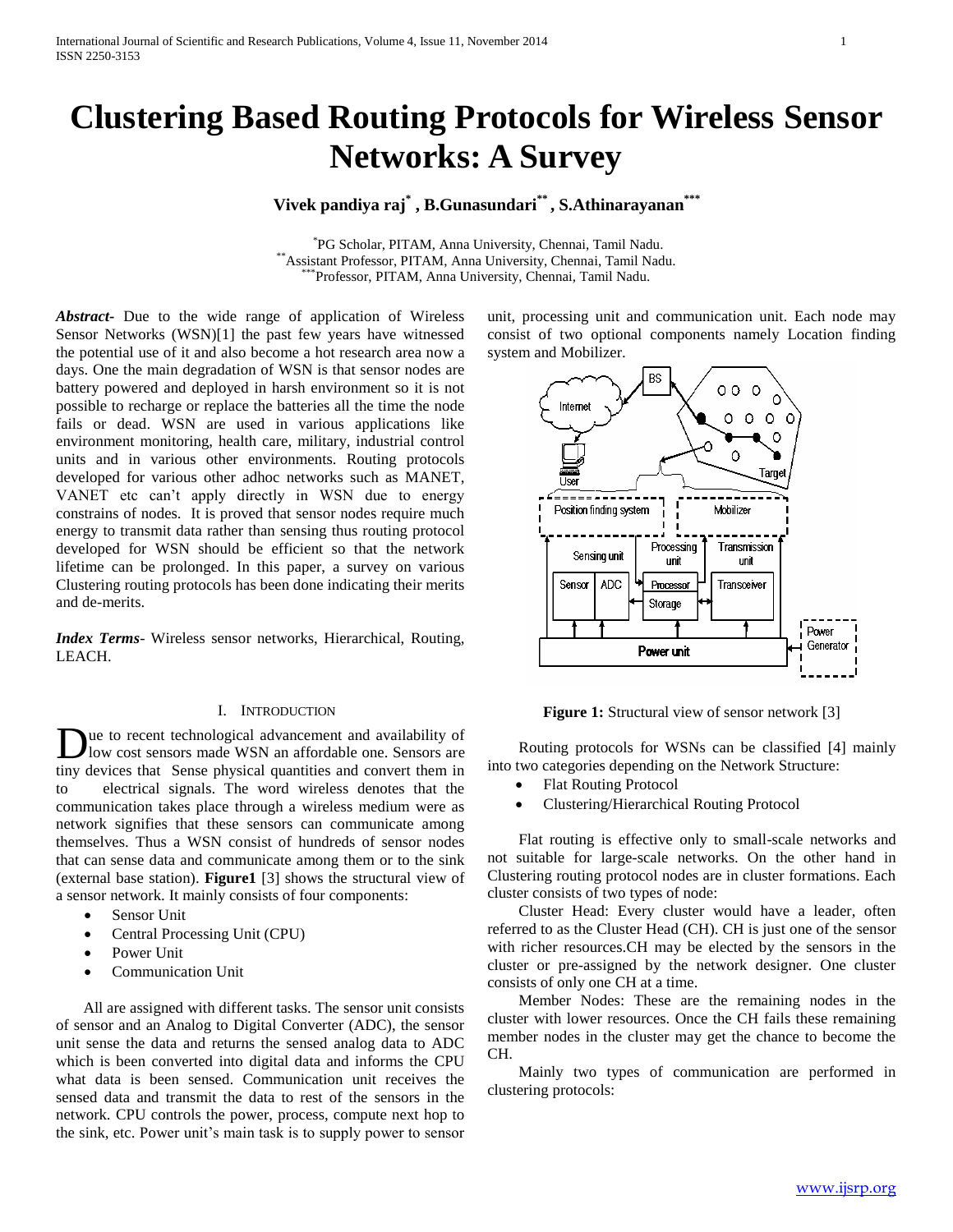# **Clustering Based Routing Protocols for Wireless Sensor Networks: A Survey**

# **Vivek pandiya raj\* , B.Gunasundari\*\* , S.Athinarayanan\*\*\***

\* PG Scholar, PITAM, Anna University, Chennai, Tamil Nadu. \*\*Assistant Professor, PITAM, Anna University, Chennai, Tamil Nadu. \*Professor, PITAM, Anna University, Chennai, Tamil Nadu.

*Abstract***-** Due to the wide range of application of Wireless Sensor Networks (WSN)[1] the past few years have witnessed the potential use of it and also become a hot research area now a days. One the main degradation of WSN is that sensor nodes are battery powered and deployed in harsh environment so it is not possible to recharge or replace the batteries all the time the node fails or dead. WSN are used in various applications like environment monitoring, health care, military, industrial control units and in various other environments. Routing protocols developed for various other adhoc networks such as MANET, VANET etc can't apply directly in WSN due to energy constrains of nodes. It is proved that sensor nodes require much energy to transmit data rather than sensing thus routing protocol developed for WSN should be efficient so that the network lifetime can be prolonged. In this paper, a survey on various Clustering routing protocols has been done indicating their merits and de-merits.

*Index Terms*- Wireless sensor networks, Hierarchical, Routing, LEACH.

#### I. INTRODUCTION

ue to recent technological advancement and availability of low cost sensors made WSN an affordable one. Sensors are Due to recent technological advancement and availability of low cost sensors made WSN an affordable one. Sensors are tiny devices that Sense physical quantities and convert them in to electrical signals. The word wireless denotes that the communication takes place through a wireless medium were as network signifies that these sensors can communicate among themselves. Thus a WSN consist of hundreds of sensor nodes that can sense data and communicate among them or to the sink (external base station). **Figure1** [3] shows the structural view of a sensor network. It mainly consists of four components:

- Sensor Unit
- Central Processing Unit (CPU)
- Power Unit
- Communication Unit

 All are assigned with different tasks. The sensor unit consists of sensor and an Analog to Digital Converter (ADC), the sensor unit sense the data and returns the sensed analog data to ADC which is been converted into digital data and informs the CPU what data is been sensed. Communication unit receives the sensed data and transmit the data to rest of the sensors in the network. CPU controls the power, process, compute next hop to the sink, etc. Power unit's main task is to supply power to sensor

unit, processing unit and communication unit. Each node may consist of two optional components namely Location finding system and Mobilizer.



**Figure 1:** Structural view of sensor network [3]

 Routing protocols for WSNs can be classified [4] mainly into two categories depending on the Network Structure:

- Flat Routing Protocol
- Clustering/Hierarchical Routing Protocol

 Flat routing is effective only to small-scale networks and not suitable for large-scale networks. On the other hand in Clustering routing protocol nodes are in cluster formations. Each cluster consists of two types of node:

 Cluster Head: Every cluster would have a leader, often referred to as the Cluster Head (CH). CH is just one of the sensor with richer resources.CH may be elected by the sensors in the cluster or pre-assigned by the network designer. One cluster consists of only one CH at a time.

 Member Nodes: These are the remaining nodes in the cluster with lower resources. Once the CH fails these remaining member nodes in the cluster may get the chance to become the CH.

 Mainly two types of communication are performed in clustering protocols: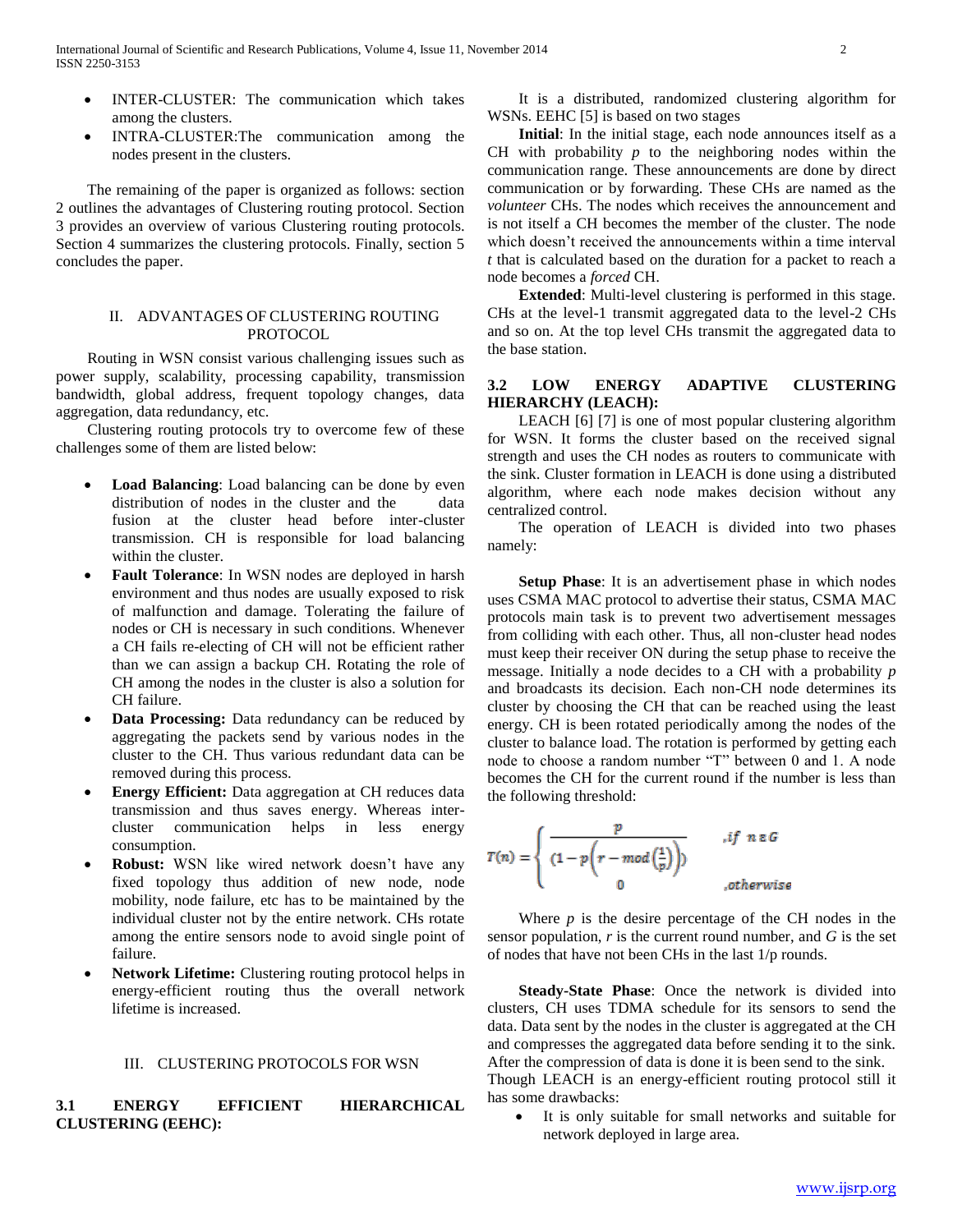- INTER-CLUSTER: The communication which takes among the clusters.
- INTRA-CLUSTER:The communication among the nodes present in the clusters.

 The remaining of the paper is organized as follows: section 2 outlines the advantages of Clustering routing protocol. Section 3 provides an overview of various Clustering routing protocols. Section 4 summarizes the clustering protocols. Finally, section 5 concludes the paper.

#### II. ADVANTAGES OF CLUSTERING ROUTING PROTOCOL.

 Routing in WSN consist various challenging issues such as power supply, scalability, processing capability, transmission bandwidth, global address, frequent topology changes, data aggregation, data redundancy, etc.

 Clustering routing protocols try to overcome few of these challenges some of them are listed below:

- **Load Balancing**: Load balancing can be done by even distribution of nodes in the cluster and the data fusion at the cluster head before inter-cluster transmission. CH is responsible for load balancing within the cluster.
- **Fault Tolerance**: In WSN nodes are deployed in harsh environment and thus nodes are usually exposed to risk of malfunction and damage. Tolerating the failure of nodes or CH is necessary in such conditions. Whenever a CH fails re-electing of CH will not be efficient rather than we can assign a backup CH. Rotating the role of CH among the nodes in the cluster is also a solution for CH failure.
- **Data Processing:** Data redundancy can be reduced by aggregating the packets send by various nodes in the cluster to the CH. Thus various redundant data can be removed during this process.
- **Energy Efficient:** Data aggregation at CH reduces data transmission and thus saves energy. Whereas intercluster communication helps in less energy consumption.
- **Robust:** WSN like wired network doesn't have any fixed topology thus addition of new node, node mobility, node failure, etc has to be maintained by the individual cluster not by the entire network. CHs rotate among the entire sensors node to avoid single point of failure.
- **Network Lifetime:** Clustering routing protocol helps in energy-efficient routing thus the overall network lifetime is increased.

#### III. CLUSTERING PROTOCOLS FOR WSN

### **3.1 ENERGY EFFICIENT HIERARCHICAL CLUSTERING (EEHC):**

 It is a distributed, randomized clustering algorithm for WSNs. EEHC [5] is based on two stages

 **Initial**: In the initial stage, each node announces itself as a CH with probability *p* to the neighboring nodes within the communication range. These announcements are done by direct communication or by forwarding. These CHs are named as the *volunteer* CHs. The nodes which receives the announcement and is not itself a CH becomes the member of the cluster. The node which doesn't received the announcements within a time interval *t* that is calculated based on the duration for a packet to reach a node becomes a *forced* CH.

 **Extended**: Multi-level clustering is performed in this stage. CHs at the level-1 transmit aggregated data to the level-2 CHs and so on. At the top level CHs transmit the aggregated data to the base station.

## **3.2 LOW ENERGY ADAPTIVE CLUSTERING HIERARCHY (LEACH):**

 LEACH [6] [7] is one of most popular clustering algorithm for WSN. It forms the cluster based on the received signal strength and uses the CH nodes as routers to communicate with the sink. Cluster formation in LEACH is done using a distributed algorithm, where each node makes decision without any centralized control.

 The operation of LEACH is divided into two phases namely:

 **Setup Phase**: It is an advertisement phase in which nodes uses CSMA MAC protocol to advertise their status, CSMA MAC protocols main task is to prevent two advertisement messages from colliding with each other. Thus, all non-cluster head nodes must keep their receiver ON during the setup phase to receive the message. Initially a node decides to a CH with a probability *p* and broadcasts its decision. Each non-CH node determines its cluster by choosing the CH that can be reached using the least energy. CH is been rotated periodically among the nodes of the cluster to balance load. The rotation is performed by getting each node to choose a random number "T" between 0 and 1. A node becomes the CH for the current round if the number is less than the following threshold:

$$
T(n) = \begin{cases} \frac{p}{(1-p\left(r-mod\left(\frac{1}{p}\right)\right))} & , if \ n \in G \\ 0 & , otherwise \end{cases}
$$

Where  $p$  is the desire percentage of the CH nodes in the sensor population, *r* is the current round number, and *G* is the set of nodes that have not been CHs in the last 1/p rounds.

 **Steady-State Phase**: Once the network is divided into clusters, CH uses TDMA schedule for its sensors to send the data. Data sent by the nodes in the cluster is aggregated at the CH and compresses the aggregated data before sending it to the sink. After the compression of data is done it is been send to the sink. Though LEACH is an energy-efficient routing protocol still it has some drawbacks:

 It is only suitable for small networks and suitable for network deployed in large area.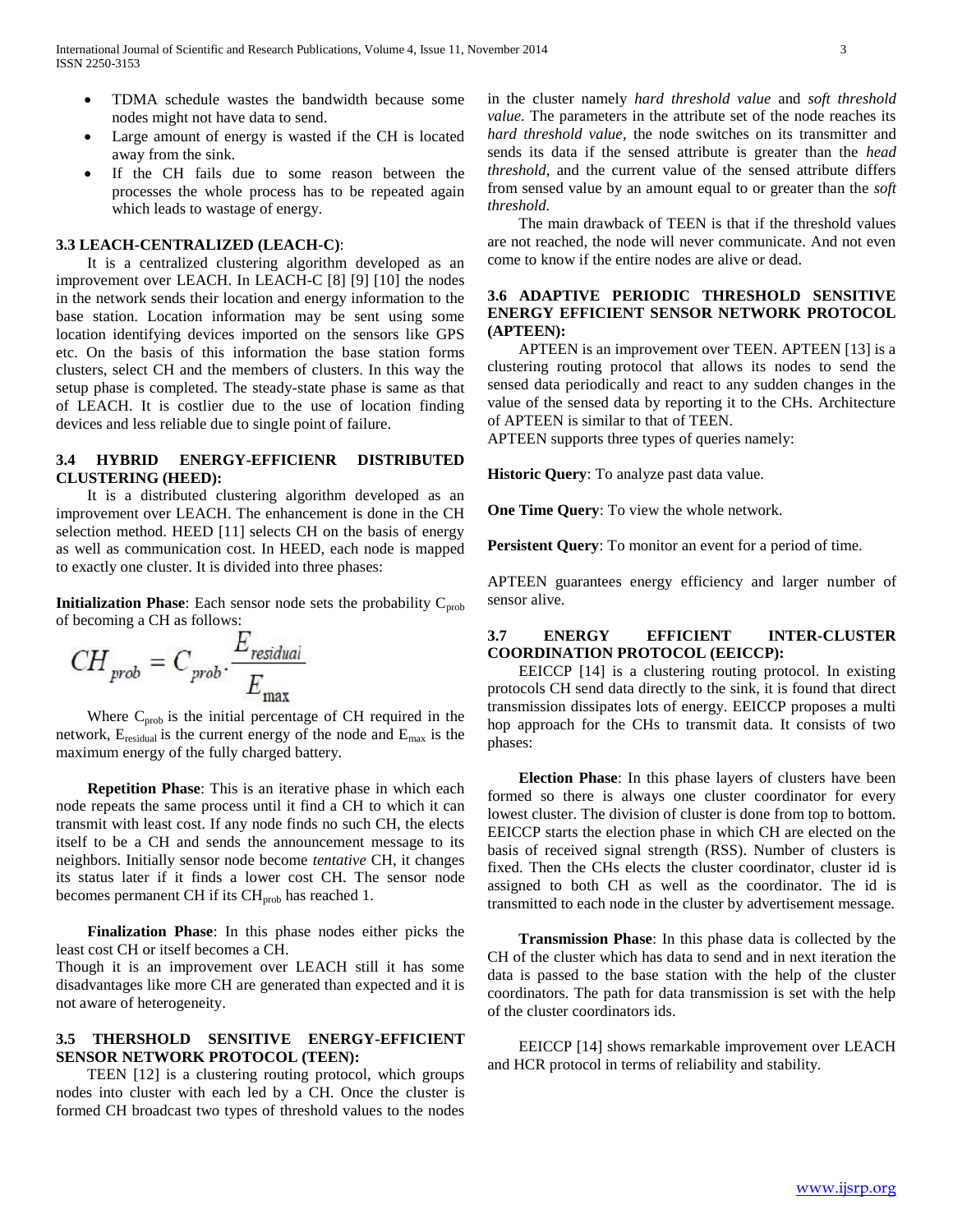- TDMA schedule wastes the bandwidth because some nodes might not have data to send.
- Large amount of energy is wasted if the CH is located away from the sink.
- If the CH fails due to some reason between the processes the whole process has to be repeated again which leads to wastage of energy.

#### **3.3 LEACH-CENTRALIZED (LEACH-C)**:

 It is a centralized clustering algorithm developed as an improvement over LEACH. In LEACH-C [8] [9] [10] the nodes in the network sends their location and energy information to the base station. Location information may be sent using some location identifying devices imported on the sensors like GPS etc. On the basis of this information the base station forms clusters, select CH and the members of clusters. In this way the setup phase is completed. The steady-state phase is same as that of LEACH. It is costlier due to the use of location finding devices and less reliable due to single point of failure.

#### **3.4 HYBRID ENERGY-EFFICIENR DISTRIBUTED CLUSTERING (HEED):**

 It is a distributed clustering algorithm developed as an improvement over LEACH. The enhancement is done in the CH selection method. HEED [11] selects CH on the basis of energy as well as communication cost. In HEED, each node is mapped to exactly one cluster. It is divided into three phases:

**Initialization Phase**: Each sensor node sets the probability  $C_{\text{prob}}$ of becoming a CH as follows:

$$
CH_{prob} = C_{prob} \cdot \frac{E_{residual}}{E_{max}}
$$

Where  $C_{\text{prob}}$  is the initial percentage of CH required in the network,  $E_{residual}$  is the current energy of the node and  $E_{max}$  is the maximum energy of the fully charged battery.

 **Repetition Phase**: This is an iterative phase in which each node repeats the same process until it find a CH to which it can transmit with least cost. If any node finds no such CH, the elects itself to be a CH and sends the announcement message to its neighbors. Initially sensor node become *tentative* CH, it changes its status later if it finds a lower cost CH. The sensor node becomes permanent CH if its CH<sub>prob</sub> has reached 1.

 **Finalization Phase**: In this phase nodes either picks the least cost CH or itself becomes a CH.

Though it is an improvement over LEACH still it has some disadvantages like more CH are generated than expected and it is not aware of heterogeneity.

## **3.5 THERSHOLD SENSITIVE ENERGY-EFFICIENT SENSOR NETWORK PROTOCOL (TEEN):**

 TEEN [12] is a clustering routing protocol, which groups nodes into cluster with each led by a CH. Once the cluster is formed CH broadcast two types of threshold values to the nodes

in the cluster namely *hard threshold value* and *soft threshold value.* The parameters in the attribute set of the node reaches its *hard threshold value*, the node switches on its transmitter and sends its data if the sensed attribute is greater than the *head threshold*, and the current value of the sensed attribute differs from sensed value by an amount equal to or greater than the *soft threshold.*

 The main drawback of TEEN is that if the threshold values are not reached, the node will never communicate. And not even come to know if the entire nodes are alive or dead.

## **3.6 ADAPTIVE PERIODIC THRESHOLD SENSITIVE ENERGY EFFICIENT SENSOR NETWORK PROTOCOL (APTEEN):**

 APTEEN is an improvement over TEEN. APTEEN [13] is a clustering routing protocol that allows its nodes to send the sensed data periodically and react to any sudden changes in the value of the sensed data by reporting it to the CHs. Architecture of APTEEN is similar to that of TEEN.

APTEEN supports three types of queries namely:

**Historic Query**: To analyze past data value.

**One Time Query**: To view the whole network.

**Persistent Query**: To monitor an event for a period of time.

APTEEN guarantees energy efficiency and larger number of sensor alive.

## **3.7 ENERGY EFFICIENT INTER-CLUSTER COORDINATION PROTOCOL (EEICCP):**

 EEICCP [14] is a clustering routing protocol. In existing protocols CH send data directly to the sink, it is found that direct transmission dissipates lots of energy. EEICCP proposes a multi hop approach for the CHs to transmit data. It consists of two phases:

 **Election Phase**: In this phase layers of clusters have been formed so there is always one cluster coordinator for every lowest cluster. The division of cluster is done from top to bottom. EEICCP starts the election phase in which CH are elected on the basis of received signal strength (RSS). Number of clusters is fixed. Then the CHs elects the cluster coordinator, cluster id is assigned to both CH as well as the coordinator. The id is transmitted to each node in the cluster by advertisement message.

 **Transmission Phase**: In this phase data is collected by the CH of the cluster which has data to send and in next iteration the data is passed to the base station with the help of the cluster coordinators. The path for data transmission is set with the help of the cluster coordinators ids.

 EEICCP [14] shows remarkable improvement over LEACH and HCR protocol in terms of reliability and stability.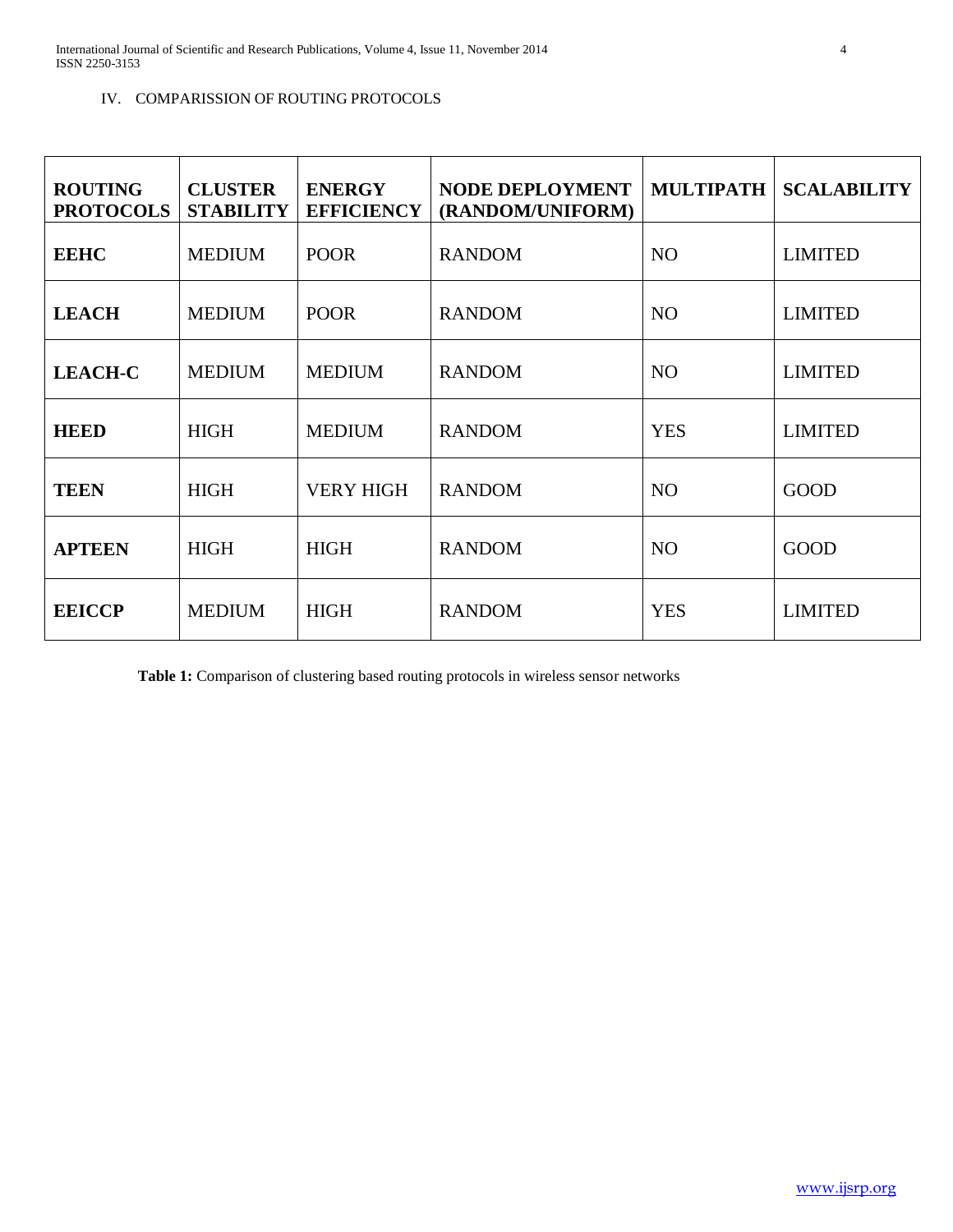## IV. COMPARISSION OF ROUTING PROTOCOLS

| <b>ROUTING</b><br><b>PROTOCOLS</b> | <b>CLUSTER</b><br><b>STABILITY</b> | <b>ENERGY</b><br><b>EFFICIENCY</b> | <b>NODE DEPLOYMENT</b><br>(RANDOM/UNIFORM) | <b>MULTIPATH</b> | <b>SCALABILITY</b> |
|------------------------------------|------------------------------------|------------------------------------|--------------------------------------------|------------------|--------------------|
| <b>EEHC</b>                        | <b>MEDIUM</b>                      | <b>POOR</b>                        | <b>RANDOM</b>                              | <b>NO</b>        | <b>LIMITED</b>     |
| <b>LEACH</b>                       | <b>MEDIUM</b>                      | <b>POOR</b>                        | <b>RANDOM</b>                              | NO <sub>1</sub>  | <b>LIMITED</b>     |
| <b>LEACH-C</b>                     | <b>MEDIUM</b>                      | <b>MEDIUM</b>                      | <b>RANDOM</b>                              | <b>NO</b>        | <b>LIMITED</b>     |
| <b>HEED</b>                        | <b>HIGH</b>                        | <b>MEDIUM</b>                      | <b>RANDOM</b>                              | <b>YES</b>       | <b>LIMITED</b>     |
| <b>TEEN</b>                        | <b>HIGH</b>                        | <b>VERY HIGH</b>                   | <b>RANDOM</b>                              | <b>NO</b>        | <b>GOOD</b>        |
| <b>APTEEN</b>                      | <b>HIGH</b>                        | <b>HIGH</b>                        | <b>RANDOM</b>                              | N <sub>O</sub>   | <b>GOOD</b>        |
| <b>EEICCP</b>                      | <b>MEDIUM</b>                      | <b>HIGH</b>                        | <b>RANDOM</b>                              | <b>YES</b>       | <b>LIMITED</b>     |

**Table 1:** Comparison of clustering based routing protocols in wireless sensor networks